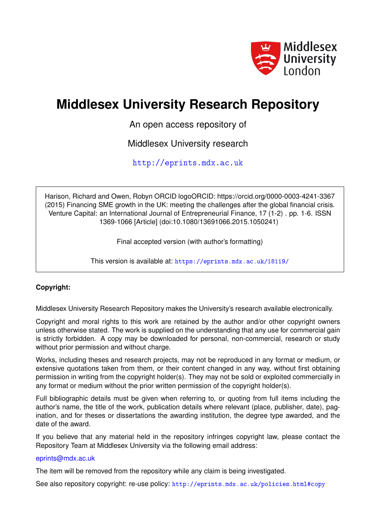

# **Middlesex University Research Repository**

An open access repository of

Middlesex University research

<http://eprints.mdx.ac.uk>

Harison, Richard and Owen, Robyn ORCID logoORCID: https://orcid.org/0000-0003-4241-3367 (2015) Financing SME growth in the UK: meeting the challenges after the global financial crisis. Venture Capital: an International Journal of Entrepreneurial Finance, 17 (1-2) . pp. 1-6. ISSN 1369-1066 [Article] (doi:10.1080/13691066.2015.1050241)

Final accepted version (with author's formatting)

This version is available at: <https://eprints.mdx.ac.uk/18119/>

## **Copyright:**

Middlesex University Research Repository makes the University's research available electronically.

Copyright and moral rights to this work are retained by the author and/or other copyright owners unless otherwise stated. The work is supplied on the understanding that any use for commercial gain is strictly forbidden. A copy may be downloaded for personal, non-commercial, research or study without prior permission and without charge.

Works, including theses and research projects, may not be reproduced in any format or medium, or extensive quotations taken from them, or their content changed in any way, without first obtaining permission in writing from the copyright holder(s). They may not be sold or exploited commercially in any format or medium without the prior written permission of the copyright holder(s).

Full bibliographic details must be given when referring to, or quoting from full items including the author's name, the title of the work, publication details where relevant (place, publisher, date), pagination, and for theses or dissertations the awarding institution, the degree type awarded, and the date of the award.

If you believe that any material held in the repository infringes copyright law, please contact the Repository Team at Middlesex University via the following email address:

#### [eprints@mdx.ac.uk](mailto:eprints@mdx.ac.uk)

The item will be removed from the repository while any claim is being investigated.

See also repository copyright: re-use policy: <http://eprints.mdx.ac.uk/policies.html#copy>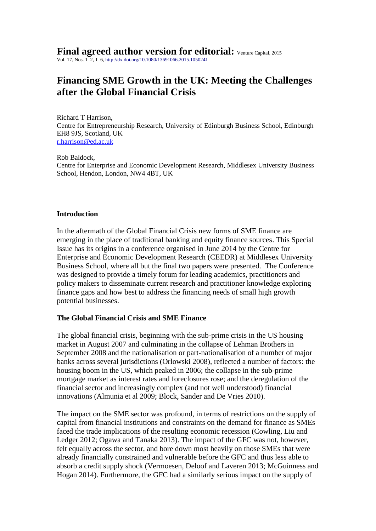# **Financing SME Growth in the UK: Meeting the Challenges after the Global Financial Crisis**

Richard T Harrison, Centre for Entrepreneurship Research, University of Edinburgh Business School, Edinburgh EH8 9JS, Scotland, UK [r.harrison@ed.ac.uk](mailto:r.harrison@ed.ac.uk)

Rob Baldock, Centre for Enterprise and Economic Development Research, Middlesex University Business School, Hendon, London, NW4 4BT, UK

#### **Introduction**

In the aftermath of the Global Financial Crisis new forms of SME finance are emerging in the place of traditional banking and equity finance sources. This Special Issue has its origins in a conference organised in June 2014 by the Centre for Enterprise and Economic Development Research (CEEDR) at Middlesex University Business School, where all but the final two papers were presented. The Conference was designed to provide a timely forum for leading academics, practitioners and policy makers to disseminate current research and practitioner knowledge exploring finance gaps and how best to address the financing needs of small high growth potential businesses.

#### **The Global Financial Crisis and SME Finance**

The global financial crisis, beginning with the sub-prime crisis in the US housing market in August 2007 and culminating in the collapse of Lehman Brothers in September 2008 and the nationalisation or part-nationalisation of a number of major banks across several jurisdictions (Orlowski 2008), reflected a number of factors: the housing boom in the US, which peaked in 2006; the collapse in the sub-prime mortgage market as interest rates and foreclosures rose; and the deregulation of the financial sector and increasingly complex (and not well understood) financial innovations (Almunia et al 2009; Block, Sander and De Vries 2010).

The impact on the SME sector was profound, in terms of restrictions on the supply of capital from financial institutions and constraints on the demand for finance as SMEs faced the trade implications of the resulting economic recession (Cowling, Liu and Ledger 2012; Ogawa and Tanaka 2013). The impact of the GFC was not, however, felt equally across the sector, and bore down most heavily on those SMEs that were already financially constrained and vulnerable before the GFC and thus less able to absorb a credit supply shock (Vermoesen, Deloof and Laveren 2013; McGuinness and Hogan 2014). Furthermore, the GFC had a similarly serious impact on the supply of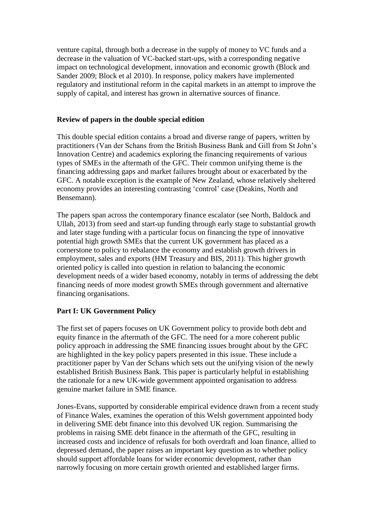venture capital, through both a decrease in the supply of money to VC funds and a decrease in the valuation of VC-backed start-ups, with a corresponding negative impact on technological development, innovation and economic growth (Block and Sander 2009; Block et al 2010). In response, policy makers have implemented regulatory and institutional reform in the capital markets in an attempt to improve the supply of capital, and interest has grown in alternative sources of finance.

#### **Review of papers in the double special edition**

This double special edition contains a broad and diverse range of papers, written by practitioners (Van der Schans from the British Business Bank and Gill from St John's Innovation Centre) and academics exploring the financing requirements of various types of SMEs in the aftermath of the GFC. Their common unifying theme is the financing addressing gaps and market failures brought about or exacerbated by the GFC. A notable exception is the example of New Zealand, whose relatively sheltered economy provides an interesting contrasting 'control' case (Deakins, North and Bensemann).

The papers span across the contemporary finance escalator (see North, Baldock and Ullah, 2013) from seed and start-up funding through early stage to substantial growth and later stage funding with a particular focus on financing the type of innovative potential high growth SMEs that the current UK government has placed as a cornerstone to policy to rebalance the economy and establish growth drivers in employment, sales and exports (HM Treasury and BIS, 2011). This higher growth oriented policy is called into question in relation to balancing the economic development needs of a wider based economy, notably in terms of addressing the debt financing needs of more modest growth SMEs through government and alternative financing organisations.

## **Part I: UK Government Policy**

The first set of papers focuses on UK Government policy to provide both debt and equity finance in the aftermath of the GFC. The need for a more coherent public policy approach in addressing the SME financing issues brought about by the GFC are highlighted in the key policy papers presented in this issue. These include a practitioner paper by Van der Schans which sets out the unifying vision of the newly established British Business Bank. This paper is particularly helpful in establishing the rationale for a new UK-wide government appointed organisation to address genuine market failure in SME finance.

Jones-Evans, supported by considerable empirical evidence drawn from a recent study of Finance Wales, examines the operation of this Welsh government appointed body in delivering SME debt finance into this devolved UK region. Summarising the problems in raising SME debt finance in the aftermath of the GFC, resulting in increased costs and incidence of refusals for both overdraft and loan finance, allied to depressed demand, the paper raises an important key question as to whether policy should support affordable loans for wider economic development, rather than narrowly focusing on more certain growth oriented and established larger firms.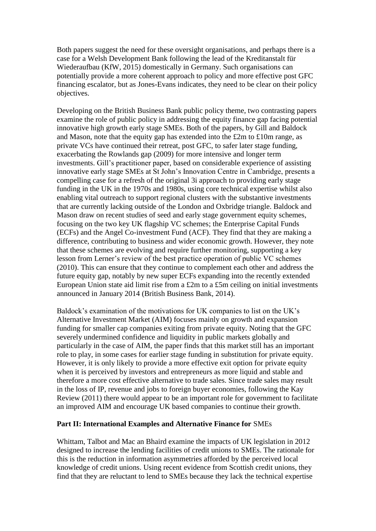Both papers suggest the need for these oversight organisations, and perhaps there is a case for a Welsh Development Bank following the lead of the Kreditanstalt für Wiederaufbau (KfW, 2015) domestically in Germany. Such organisations can potentially provide a more coherent approach to policy and more effective post GFC financing escalator, but as Jones-Evans indicates, they need to be clear on their policy objectives.

Developing on the British Business Bank public policy theme, two contrasting papers examine the role of public policy in addressing the equity finance gap facing potential innovative high growth early stage SMEs. Both of the papers, by Gill and Baldock and Mason, note that the equity gap has extended into the £2m to £10m range, as private VCs have continued their retreat, post GFC, to safer later stage funding, exacerbating the Rowlands gap (2009) for more intensive and longer term investments. Gill's practitioner paper, based on considerable experience of assisting innovative early stage SMEs at St John's Innovation Centre in Cambridge, presents a compelling case for a refresh of the original 3i approach to providing early stage funding in the UK in the 1970s and 1980s, using core technical expertise whilst also enabling vital outreach to support regional clusters with the substantive investments that are currently lacking outside of the London and Oxbridge triangle. Baldock and Mason draw on recent studies of seed and early stage government equity schemes, focusing on the two key UK flagship VC schemes; the Enterprise Capital Funds (ECFs) and the Angel Co-investment Fund (ACF). They find that they are making a difference, contributing to business and wider economic growth. However, they note that these schemes are evolving and require further monitoring, supporting a key lesson from Lerner's review of the best practice operation of public VC schemes (2010). This can ensure that they continue to complement each other and address the future equity gap, notably by new super ECFs expanding into the recently extended European Union state aid limit rise from a £2m to a £5m ceiling on initial investments announced in January 2014 (British Business Bank, 2014).

Baldock's examination of the motivations for UK companies to list on the UK's Alternative Investment Market (AIM) focuses mainly on growth and expansion funding for smaller cap companies exiting from private equity. Noting that the GFC severely undermined confidence and liquidity in public markets globally and particularly in the case of AIM, the paper finds that this market still has an important role to play, in some cases for earlier stage funding in substitution for private equity. However, it is only likely to provide a more effective exit option for private equity when it is perceived by investors and entrepreneurs as more liquid and stable and therefore a more cost effective alternative to trade sales. Since trade sales may result in the loss of IP, revenue and jobs to foreign buyer economies, following the Kay Review (2011) there would appear to be an important role for government to facilitate an improved AIM and encourage UK based companies to continue their growth.

#### **Part II: International Examples and Alternative Finance for** SMEs

Whittam, Talbot and Mac an Bhaird examine the impacts of UK legislation in 2012 designed to increase the lending facilities of credit unions to SMEs. The rationale for this is the reduction in information asymmetries afforded by the perceived local knowledge of credit unions. Using recent evidence from Scottish credit unions, they find that they are reluctant to lend to SMEs because they lack the technical expertise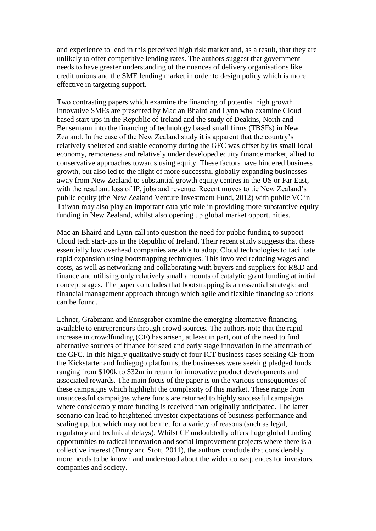and experience to lend in this perceived high risk market and, as a result, that they are unlikely to offer competitive lending rates. The authors suggest that government needs to have greater understanding of the nuances of delivery organisations like credit unions and the SME lending market in order to design policy which is more effective in targeting support.

Two contrasting papers which examine the financing of potential high growth innovative SMEs are presented by Mac an Bhaird and Lynn who examine Cloud based start-ups in the Republic of Ireland and the study of Deakins, North and Bensemann into the financing of technology based small firms (TBSFs) in New Zealand. In the case of the New Zealand study it is apparent that the country's relatively sheltered and stable economy during the GFC was offset by its small local economy, remoteness and relatively under developed equity finance market, allied to conservative approaches towards using equity. These factors have hindered business growth, but also led to the flight of more successful globally expanding businesses away from New Zealand to substantial growth equity centres in the US or Far East, with the resultant loss of IP, jobs and revenue. Recent moves to tie New Zealand's public equity (the New Zealand Venture Investment Fund, 2012) with public VC in Taiwan may also play an important catalytic role in providing more substantive equity funding in New Zealand, whilst also opening up global market opportunities.

Mac an Bhaird and Lynn call into question the need for public funding to support Cloud tech start-ups in the Republic of Ireland. Their recent study suggests that these essentially low overhead companies are able to adopt Cloud technologies to facilitate rapid expansion using bootstrapping techniques. This involved reducing wages and costs, as well as networking and collaborating with buyers and suppliers for R&D and finance and utilising only relatively small amounts of catalytic grant funding at initial concept stages. The paper concludes that bootstrapping is an essential strategic and financial management approach through which agile and flexible financing solutions can be found.

Lehner, Grabmann and Ennsgraber examine the emerging alternative financing available to entrepreneurs through crowd sources. The authors note that the rapid increase in crowdfunding (CF) has arisen, at least in part, out of the need to find alternative sources of finance for seed and early stage innovation in the aftermath of the GFC. In this highly qualitative study of four ICT business cases seeking CF from the Kickstarter and Indiegogo platforms, the businesses were seeking pledged funds ranging from \$100k to \$32m in return for innovative product developments and associated rewards. The main focus of the paper is on the various consequences of these campaigns which highlight the complexity of this market. These range from unsuccessful campaigns where funds are returned to highly successful campaigns where considerably more funding is received than originally anticipated. The latter scenario can lead to heightened investor expectations of business performance and scaling up, but which may not be met for a variety of reasons (such as legal, regulatory and technical delays). Whilst CF undoubtedly offers huge global funding opportunities to radical innovation and social improvement projects where there is a collective interest (Drury and Stott, 2011), the authors conclude that considerably more needs to be known and understood about the wider consequences for investors, companies and society.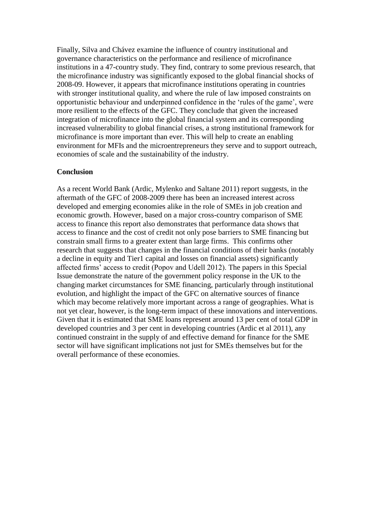Finally, Silva and Chávez examine the influence of country institutional and governance characteristics on the performance and resilience of microfinance institutions in a 47-country study. They find, contrary to some previous research, that the microfinance industry was significantly exposed to the global financial shocks of 2008-09. However, it appears that microfinance institutions operating in countries with stronger institutional quality, and where the rule of law imposed constraints on opportunistic behaviour and underpinned confidence in the 'rules of the game', were more resilient to the effects of the GFC. They conclude that given the increased integration of microfinance into the global financial system and its corresponding increased vulnerability to global financial crises, a strong institutional framework for microfinance is more important than ever. This will help to create an enabling environment for MFIs and the microentrepreneurs they serve and to support outreach, economies of scale and the sustainability of the industry.

#### **Conclusion**

As a recent World Bank (Ardic, Mylenko and Saltane 2011) report suggests, in the aftermath of the GFC of 2008-2009 there has been an increased interest across developed and emerging economies alike in the role of SMEs in job creation and economic growth. However, based on a major cross-country comparison of SME access to finance this report also demonstrates that performance data shows that access to finance and the cost of credit not only pose barriers to SME financing but constrain small firms to a greater extent than large firms. This confirms other research that suggests that changes in the financial conditions of their banks (notably a decline in equity and Tier1 capital and losses on financial assets) significantly affected firms' access to credit (Popov and Udell 2012). The papers in this Special Issue demonstrate the nature of the government policy response in the UK to the changing market circumstances for SME financing, particularly through institutional evolution, and highlight the impact of the GFC on alternative sources of finance which may become relatively more important across a range of geographies. What is not yet clear, however, is the long-term impact of these innovations and interventions. Given that it is estimated that SME loans represent around 13 per cent of total GDP in developed countries and 3 per cent in developing countries (Ardic et al 2011), any continued constraint in the supply of and effective demand for finance for the SME sector will have significant implications not just for SMEs themselves but for the overall performance of these economies.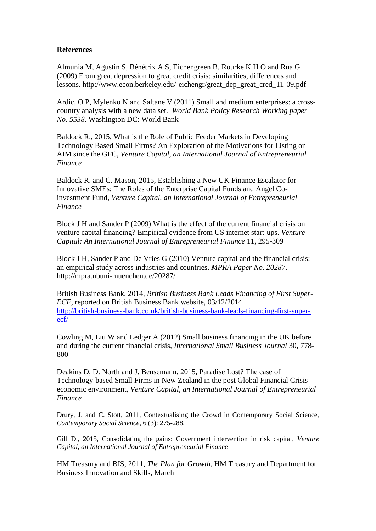#### **References**

Almunia M, Agustin S, Bénétrix A S, Eichengreen B, Rourke K H O and Rua G (2009) From great depression to great credit crisis: similarities, differences and lessons. http://www.econ.berkeley.edu/-eichengr/great\_dep\_great\_cred\_11-09.pdf

Ardic, O P, Mylenko N and Saltane V (2011) Small and medium enterprises: a crosscountry analysis with a new data set. *World Bank Policy Research Working paper No. 5538*. Washington DC: World Bank

Baldock R., 2015, What is the Role of Public Feeder Markets in Developing Technology Based Small Firms? An Exploration of the Motivations for Listing on AIM since the GFC, *Venture Capital, an International Journal of Entrepreneurial Finance*

Baldock R. and C. Mason, 2015, Establishing a New UK Finance Escalator for Innovative SMEs: The Roles of the Enterprise Capital Funds and Angel Coinvestment Fund, *Venture Capital, an International Journal of Entrepreneurial Finance*

Block J H and Sander P (2009) What is the effect of the current financial crisis on venture capital financing? Empirical evidence from US internet start-ups. *Venture Capital: An International Journal of Entrepreneurial Finance* 11, 295-309

Block J H, Sander P and De Vries G (2010) Venture capital and the financial crisis: an empirical study across industries and countries. *MPRA Paper No. 20287*. http://mpra.ubuni-muenchen.de/20287/

British Business Bank, 2014, *British Business Bank Leads Financing of First Super-ECF*, reported on British Business Bank website, 03/12/2014 [http://british-business-bank.co.uk/british-business-bank-leads-financing-first-super](http://british-business-bank.co.uk/british-business-bank-leads-financing-first-super-ecf/)[ecf/](http://british-business-bank.co.uk/british-business-bank-leads-financing-first-super-ecf/)

Cowling M, Liu W and Ledger A (2012) Small business financing in the UK before and during the current financial crisis, *International Small Business Journal* 30, 778- 800

Deakins D, D. North and J. Bensemann, 2015, Paradise Lost? The case of Technology-based Small Firms in New Zealand in the post Global Financial Crisis economic environment, *Venture Capital, an International Journal of Entrepreneurial Finance*

Drury, J. and C. Stott, 2011, Contextualising the Crowd in Contemporary Social Science, *Contemporary Social Science*, 6 (3): 275-288.

Gill D., 2015, Consolidating the gains: Government intervention in risk capital, *Venture Capital, an International Journal of Entrepreneurial Finance*

HM Treasury and BIS, 2011, *The Plan for Growth*, HM Treasury and Department for Business Innovation and Skills, March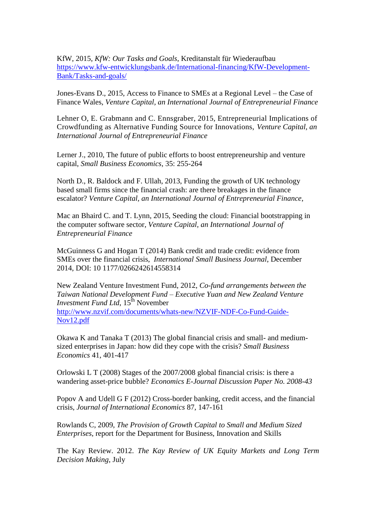KfW, 2015, *KfW: Our Tasks and Goals*, Kreditanstalt für Wiederaufbau [https://www.kfw-entwicklungsbank.de/International-financing/KfW-Development-](https://www.kfw-entwicklungsbank.de/International-financing/KfW-Development-Bank/Tasks-and-goals/)[Bank/Tasks-and-goals/](https://www.kfw-entwicklungsbank.de/International-financing/KfW-Development-Bank/Tasks-and-goals/)

Jones-Evans D., 2015, Access to Finance to SMEs at a Regional Level – the Case of Finance Wales, *Venture Capital, an International Journal of Entrepreneurial Finance*

Lehner O, E. Grabmann and C. Ennsgraber, 2015, Entrepreneurial Implications of Crowdfunding as Alternative Funding Source for Innovations, *Venture Capital, an International Journal of Entrepreneurial Finance*

Lerner J., 2010, The future of public efforts to boost entrepreneurship and venture capital, *Small Business Economics*, 35: 255-264

North D., R. Baldock and F. Ullah, 2013, Funding the growth of UK technology based small firms since the financial crash: are there breakages in the finance escalator? *Venture Capital, an International Journal of Entrepreneurial Finance*,

Mac an Bhaird C. and T. Lynn, 2015, Seeding the cloud: Financial bootstrapping in the computer software sector, *Venture Capital, an International Journal of Entrepreneurial Finance*

McGuinness G and Hogan T (2014) Bank credit and trade credit: evidence from SMEs over the financial crisis, *International Small Business Journal*, December 2014, DOI: 10 1177/0266242614558314

New Zealand Venture Investment Fund, 2012, *Co-fund arrangements between the Taiwan National Development Fund – Executive Yuan and New Zealand Venture Investment Fund Ltd*, 15<sup>th</sup> November [http://www.nzvif.com/documents/whats-new/NZVIF-NDF-Co-Fund-Guide-](http://www.nzvif.com/documents/whats-new/NZVIF-NDF-Co-Fund-Guide-Nov12.pdf)[Nov12.pdf](http://www.nzvif.com/documents/whats-new/NZVIF-NDF-Co-Fund-Guide-Nov12.pdf)

Okawa K and Tanaka T (2013) The global financial crisis and small- and mediumsized enterprises in Japan: how did they cope with the crisis? *Small Business Economics* 41, 401-417

Orlowski L T (2008) Stages of the 2007/2008 global financial crisis: is there a wandering asset-price bubble? *Economics E-Journal Discussion Paper No. 2008-43*

Popov A and Udell G F (2012) Cross-border banking, credit access, and the financial crisis, *Journal of International Economics* 87, 147-161

Rowlands C, 2009, *The Provision of Growth Capital to Small and Medium Sized Enterprises*, report for the Department for Business, Innovation and Skills

The Kay Review. 2012. *The Kay Review of UK Equity Markets and Long Term Decision Making*, July